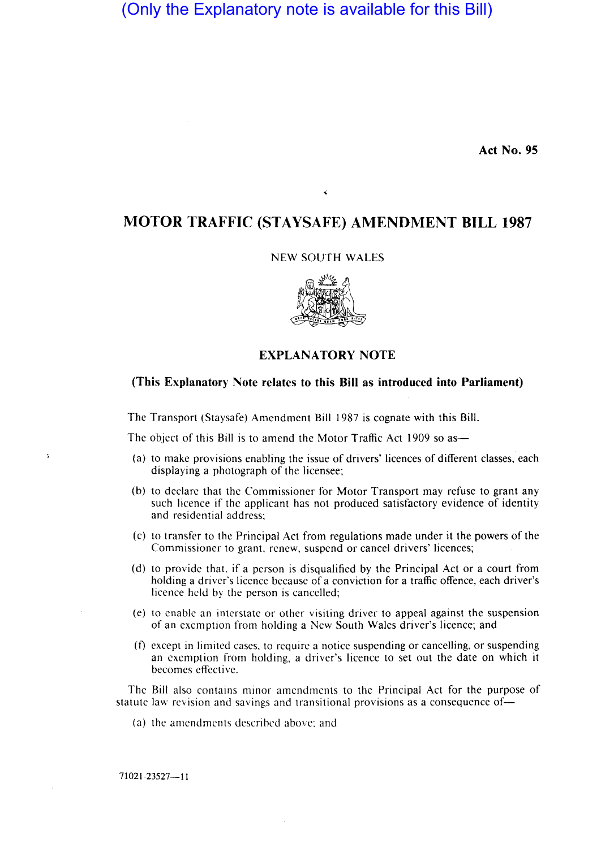# (Only the Explanatory note is available for this Bill)

**Act No. 95** 

# **MOTOR TRAFFIC (STA YSAFE) AMENDMENT BILL 1987**

k

#### NEW SOUTH WALES



## **EXPLANATORY NOTE**

#### **(This Explanatory Note relates to this Bill as introduced into Parliament)**

The Transport (Staysafe) Amendment Bill 1987 is cognate with this Bill.

The object of this Bill is to amend the Motor Traffic Act 1909 so as—

- (a) to make provisions enabling the issue of drivers' licences of different classes, each displaying a photograph of the licensee;
- (b) to declare that the Commissioner for Motor Transport may refuse to grant any such licence if the applicant has not produced satisfactory evidence of identity and residential address;
- (c) to transfer to the Principal Act from regulations made under it the powers of the Commissioner to grant. renew, suspend or cancel drivers' licences;
- (d) to provide that, if a person is disqualified by the Principal Act or a court from holding a driver's licence because of a conviction for a traffic offence, each driver's licence held by the person is cancelled;
- (e) to enable an interstate or other visiting driver to appeal against the suspension of an exemption from holding a New South Wales driver's licence; and
- (f) except in limited cases, to require a notice suspending or cancelling, or suspending an exemption from holding, a driver's licence to set out the date on which it becomes effective.

The Bill also contains minor amendments to the Principal Act for the purpose of statute law revision and savings and transitional provisions as a consequence of-

(a) the amendments descrihed above: and

71021-23527-11

ś,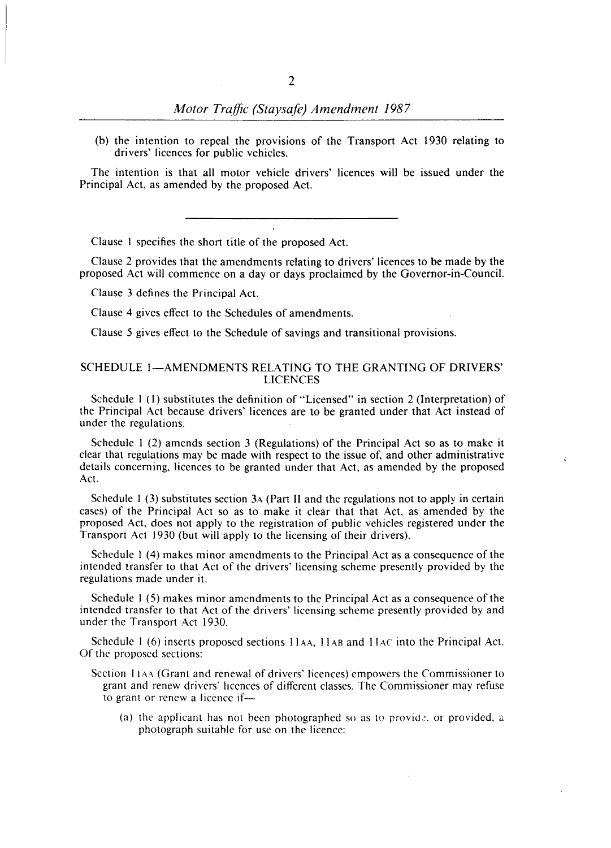(b) the intention to repeal the provisions of the Transport Act 1930 relating to drivers' licences for public vehicles.

The intention is that all motor vehicle drivers' licences will be issued under the Principal Act, as amended by the proposed Act.

Clause I specifies the short title of the proposed Act.

Clause 2 provides that the amendments relating to drivers' licences to be made by the proposed Act will commence on a day or days proclaimed by the Governor-in-Council.

Clause 3 defines the Principal Act.

Clause 4 gives effect to the Schedules of amendments.

Clause 5 gives effect to the Schedule of savings and transitional provisions.

#### SCHEDULE 1-AMENDMENTS RELATING TO THE GRANTING OF DRIVERS' LICENCES

Schedule I (I) substitutes the definition of "Licensed" in section 2 (Interpretation) of the Principal Act because drivers' licences are to be granted under that Act instead of under the regulations.

Schedule I (2) amends section 3 (Regulations) of the Principal Act so as to make it clear that regulations may be made with respect to the issue of, and other administrative details concerning, licences to be granted under that Act, as amended by the proposed Act.

Schedule 1 (3) substitutes section 3A (Part II and the regulations not to apply in certain cases) of the Principal Act so as to make it clear that that Act, as amended by the proposed Act. does not apply to the registration of public vehicles registered under the Transport Act 1930 (but will apply to the licensing of their drivers).

Schedule I (4) makes minor amendments to the Principal Act as a consequence of the intended transfer to that Act of the drivers' licensing scheme presently provided by the regulations made under it.

Schedule I (5) makes minor amendments to the Principal Act as a consequence of the intended transfer to that Act of the drivers' licensing scheme presently provided by and under the Transport Act 1930.

Schedule 1 (6) inserts proposed sections 11AA, 11AB and 11AC into the Principal Act. Of the proposed sections:

- Section 11AA (Grant and renewal of drivers' licences) empowers the Commissioner to grant and renew drivers' licences of different classes. The Commissioner may refuse to grant or renew a licence if-
	- (a) the applicant has not been photographed so as to provide, or provided, a photograph suitahle for use on the licence: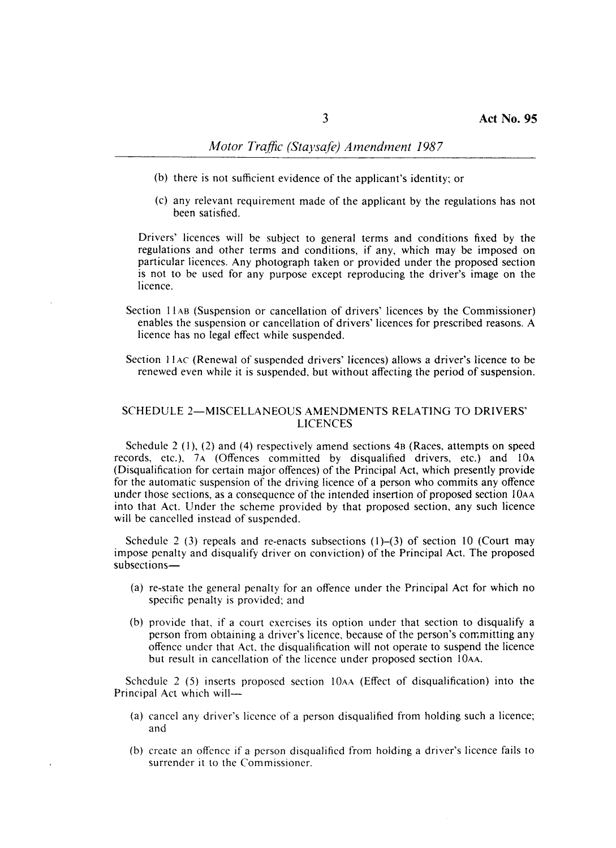- (b) there is not sufficient evidence of the applicant's identity; or
- (c) any relevant requirement made of the applicant by the regulations has not been satisfied.

Drivers' licences will be subject to general terms and conditions fixed by the regulations and other terms and conditions, if any, which may be imposed on particular licences. Any photograph taken or provided under the proposed section is not to be used for any purpose except reproducing the driver's image on the licence.

- Section IIAB (Suspension or cancellation of drivers' licences by the Commissioner) enables the suspension or cancellation of drivers' licences for prescribed reasons. A licence has no legal effect while suspended.
- Section 11<sub>4</sub>C (Renewal of suspended drivers' licences) allows a driver's licence to be renewed even while it is suspended, but without affecting the period of suspension.

#### SCHEDULE 2-MISCELLANEOUS AMENDMENTS RELATING TO DRIVERS' LICENCES

Schedule 2 (I), (2) and (4) respectively amend sections 4B (Races, attempts on speed records, etc.), 7A (Offences committed by disqualified drivers, etc.) and 10A (Disqualification for certain major offences) of the Principal Act, which presently provide for the automatic suspension of the driving licence of a person who commits any offence under those sections, as a consequence of the intended insertion of proposed section 10AA into that Act. Under the scheme provided by that proposed section, any such licence will be cancelled instead of suspended.

Schedule 2 (3) repeals and re-enacts subsections  $(1)$ – $(3)$  of section 10 (Court may impose penalty and disqualify driver on conviction) of the Principal Act. The proposed subsections-

- (a) re-state the general penalty for an offence under the Principal Act for which no specific penalty is provided; and
- (b) provide that, if a court exercises its option under that section to disqualify a person from obtaining a driver's licence, because of the person's committing any offence under that Act, the disqualification will not operate to suspend the licence but result in cancellation of the licence under proposed section 10AA.

Schedule 2 (5) inserts proposed section 10AA (Effect of disqualification) into the Principal Act which will-

- (a) cancel any driver's licence of a person disqualified from holding such a licence; and
- (b) create an offcncc if a person disqualified from holding a driver's licence fails to surrender it to the Commissioner.